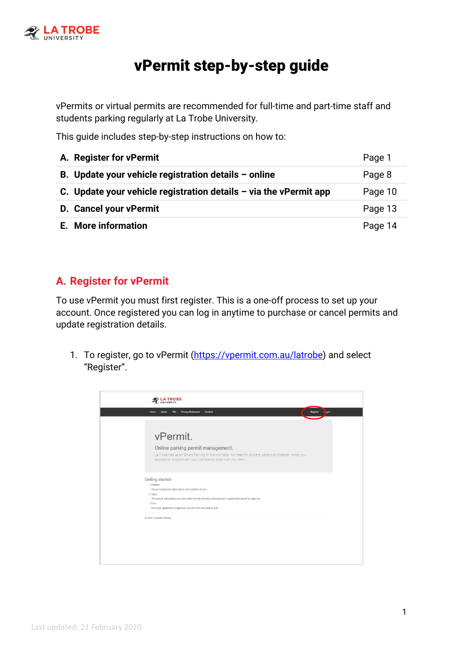

# vPermit step-by-step guide

vPermits or virtual permits are recommended for full-time and part-time staff and students parking regularly at La Trobe University.

This guide includes step-by-step instructions on how to:

| A. Register for vPermit                                             | Page 1  |
|---------------------------------------------------------------------|---------|
| B. Update your vehicle registration details $-$ online              | Page 8  |
| C. Update your vehicle registration details $-$ via the vPermit app | Page 10 |
| D. Cancel your vPermit                                              | Page 13 |
| E. More information                                                 | Page 14 |

### **A. Register for vPermit**

To use vPermit you must first register. This is a one-off process to set up your account. Once registered you can log in anytime to purchase or cancel permits and update registration details.

1. To register, go to vPermit [\(https://vpermit.com.au/latrobe\)](https://vpermit.com.au/latrobe) and select "Register".

| <b>LA TROBE</b>                                                                                                                                                              |
|------------------------------------------------------------------------------------------------------------------------------------------------------------------------------|
| Privacy Statement Contact<br>Register<br>Ligin<br>T&C<br>Home<br><b>About</b>                                                                                                |
|                                                                                                                                                                              |
| vPermit.                                                                                                                                                                     |
| Online parking permit management.                                                                                                                                            |
| La Trobe has taken Smart Parking to the next level. No need for stickers, papers and hassle - once your<br>application is approved - your car licence plate is all you need. |
| Getting started:                                                                                                                                                             |
| 1. Register<br>Get your registration information and submit it all here                                                                                                      |
| 2. Apply                                                                                                                                                                     |
| The system will validate your information for the vPermit, verify payment if applied and send it for approval.                                                               |
| 3. Park<br>Once your application is approved, you are done and ready to park.                                                                                                |
| @ 2020 - Smarter Parking                                                                                                                                                     |
|                                                                                                                                                                              |
|                                                                                                                                                                              |
|                                                                                                                                                                              |
|                                                                                                                                                                              |
|                                                                                                                                                                              |
|                                                                                                                                                                              |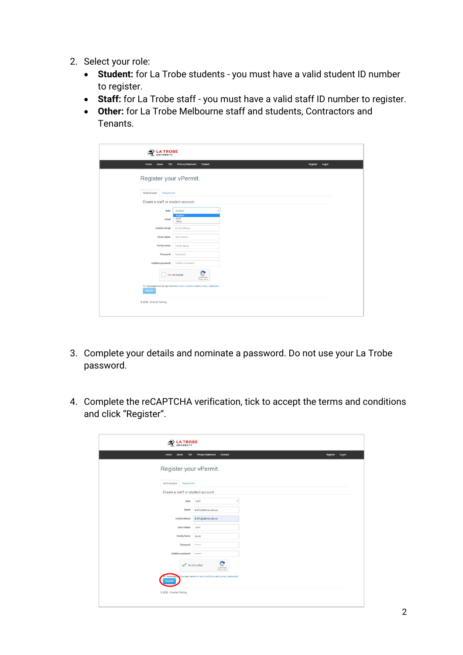- 2. Select your role:
	- **Student:** for La Trobe students you must have a valid student ID number to register.
	- **Staff:** for La Trobe staff you must have a valid staff ID number to register.
	- **Other:** for La Trobe Melbourne staff and students, Contractors and Tenants.

| Home<br><b>About</b><br>T&C       | <b>Privacy Statement</b><br>Contact                                      | Register<br>Log in |
|-----------------------------------|--------------------------------------------------------------------------|--------------------|
| Register your vPermit.            |                                                                          |                    |
|                                   |                                                                          |                    |
| Staff/student<br>Department       |                                                                          |                    |
| Create a staff or student account |                                                                          |                    |
| Role                              | Student                                                                  |                    |
| Email                             | <b>Student</b><br>Staff<br>Other                                         |                    |
| <b>Confirm Email</b>              | Email Address                                                            |                    |
| Given Name                        | Given Name                                                               |                    |
| <b>Family Name</b>                | Family Name                                                              |                    |
| Password                          | Password                                                                 |                    |
| Confirm password                  | Confirm Password                                                         |                    |
|                                   | I'm not a robot<br>u<br><b>reCAPTCHA</b><br>Primary Terris               |                    |
| Register                          | El I have read and accept the terms and conditions and privacy statement |                    |

- 3. Complete your details and nominate a password. Do not use your La Trobe password.
- 4. Complete the reCAPTCHA verification, tick to accept the terms and conditions and click "Register".

| About<br>T&C<br>Home                       | <b>Privacy Statement</b><br>Contact                                                              | Register<br>Log in |
|--------------------------------------------|--------------------------------------------------------------------------------------------------|--------------------|
| Register your vPermit.                     |                                                                                                  |                    |
| Staff/student<br>Department                |                                                                                                  |                    |
| Create a staff or student account          |                                                                                                  |                    |
| Role                                       | Staff                                                                                            |                    |
| Email                                      | traffic@latrobe.edu.au                                                                           |                    |
| Confirm Email                              | traffic@latrobe.edu.au                                                                           |                    |
| Given Name                                 | <b>John</b>                                                                                      |                    |
| <b>Family Name</b>                         | Smith                                                                                            |                    |
| Password                                   |                                                                                                  |                    |
| Confirm password                           |                                                                                                  |                    |
| $\checkmark$ fm not a robot<br>I have read | e<br><b>HECAPTCHA</b><br>Frage-Terra<br>od accept the terms and conditions and privacy statement |                    |
| Register                                   |                                                                                                  |                    |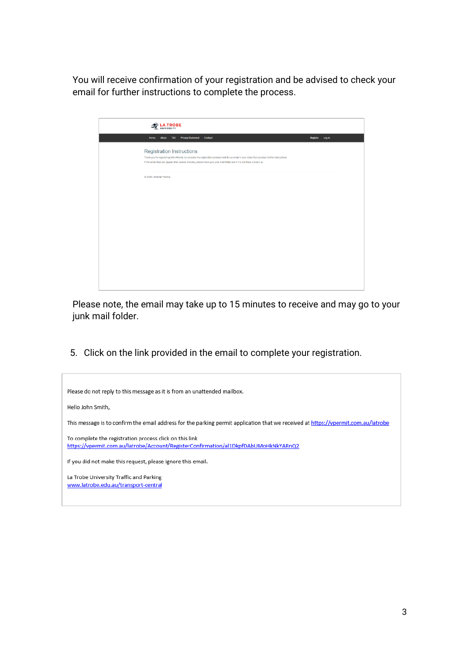You will receive confirmation of your registration and be advised to check your email for further instructions to complete the process.

| <b>B</b> LA TROBE<br>UNIVERSITY                                                                                                                                                                                                                                                                                    |                 |
|--------------------------------------------------------------------------------------------------------------------------------------------------------------------------------------------------------------------------------------------------------------------------------------------------------------------|-----------------|
| Home About T&C Privacy Statement Contact                                                                                                                                                                                                                                                                           | Register Log in |
| <b>Registration Instructions</b><br>Thank you for registering with vPermit, to complete the registration process look for an email in your inbox that provides further instructions.<br>If the email does not appear after several minutes, please check your junk mail folder and if it is not there, contact us. |                 |
| @ 2020 - Smarter Parking                                                                                                                                                                                                                                                                                           |                 |
|                                                                                                                                                                                                                                                                                                                    |                 |
|                                                                                                                                                                                                                                                                                                                    |                 |
|                                                                                                                                                                                                                                                                                                                    |                 |
|                                                                                                                                                                                                                                                                                                                    |                 |
|                                                                                                                                                                                                                                                                                                                    |                 |
|                                                                                                                                                                                                                                                                                                                    |                 |
|                                                                                                                                                                                                                                                                                                                    |                 |
|                                                                                                                                                                                                                                                                                                                    |                 |
|                                                                                                                                                                                                                                                                                                                    |                 |
|                                                                                                                                                                                                                                                                                                                    |                 |

Please note, the email may take up to 15 minutes to receive and may go to your junk mail folder.

5. Click on the link provided in the email to complete your registration.

| Please do not reply to this message as it is from an unattended mailbox.                                                                       |
|------------------------------------------------------------------------------------------------------------------------------------------------|
| Hello John Smith,                                                                                                                              |
| This message is to confirm the email address for the parking permit application that we received at https://vpermit.com.au/latrobe             |
| To complete the registration process click on this link<br>https://vpermit.com.au/latrobe/Account/RegisterConfirmation/al1DkpfDAbUMoHkNkYARnQ2 |
| If you did not make this request, please ignore this email.                                                                                    |
| La Trobe University Traffic and Parking<br>www.latrobe.edu.au/transport-central                                                                |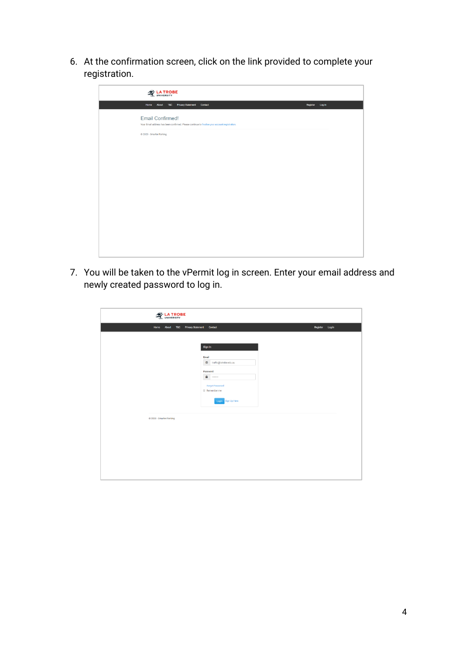6. At the confirmation screen, click on the link provided to complete your registration.

| <b>WE LA TROBE</b>                                                                                                       |                 |
|--------------------------------------------------------------------------------------------------------------------------|-----------------|
| About T&C Privacy Statement Contact<br>Home                                                                              | Register Log in |
| <b>Email Confirmed!</b><br>Your Email address has been confirmed. Please continue to finalise your account registration. |                 |
| @ 2020 - Smarter Parking                                                                                                 |                 |
|                                                                                                                          |                 |
|                                                                                                                          |                 |
|                                                                                                                          |                 |
|                                                                                                                          |                 |
|                                                                                                                          |                 |
|                                                                                                                          |                 |
|                                                                                                                          |                 |
|                                                                                                                          |                 |
|                                                                                                                          |                 |
|                                                                                                                          |                 |

7. You will be taken to the vPermit log in screen. Enter your email address and newly created password to log in.

| LA TROBE                 |                                                                                                                                                                                      |                 |
|--------------------------|--------------------------------------------------------------------------------------------------------------------------------------------------------------------------------------|-----------------|
| About T&C<br>Home        | <b>Privacy Statement</b> Contact                                                                                                                                                     | Register Log in |
|                          | Sign In<br>Email<br>$\bar{\mathfrak{A}}$<br>traffic@latrobe.edu.au<br>Password<br>$\bullet$<br>$\sim$ $\sim$<br><b>Forgot Password</b><br><b>E</b> Remember me<br>Login Sign Up Here |                 |
| @ 2020 - Smarter Parking |                                                                                                                                                                                      |                 |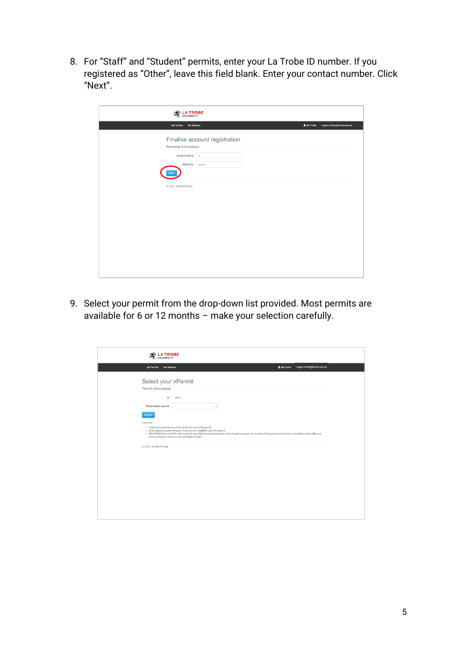8. For "Staff" and "Student" permits, enter your La Trobe ID number. If you registered as "Other", leave this field blank. Enter your contact number. Click "Next".

| <b>WE LA TROBE</b>                                    |                                               |
|-------------------------------------------------------|-----------------------------------------------|
| <b>My Permits</b><br><b>My Vehicles</b>               | L My Profile<br>Logout traffic@latrobe.edu.au |
| Finalise account registration<br>Personal Information |                                               |
| $\blacksquare$<br>Student/Staff ID                    |                                               |
| Mobile no.<br>Mobile                                  |                                               |
| Vext                                                  |                                               |
| C 2020 - Smarter Parking                              |                                               |
|                                                       |                                               |
|                                                       |                                               |
|                                                       |                                               |
|                                                       |                                               |
|                                                       |                                               |
|                                                       |                                               |
|                                                       |                                               |
|                                                       |                                               |
|                                                       |                                               |

9. Select your permit from the drop-down list provided. Most permits are available for 6 or 12 months – make your selection carefully.

| <b>LA TROBE</b>                                                                                                                                                                                                                                                                                                                                                                                              |                                           |
|--------------------------------------------------------------------------------------------------------------------------------------------------------------------------------------------------------------------------------------------------------------------------------------------------------------------------------------------------------------------------------------------------------------|-------------------------------------------|
| My Permits My Vehicles                                                                                                                                                                                                                                                                                                                                                                                       | LMy Profile Logout traffic@latrobe.edu.au |
| Select your vPermit                                                                                                                                                                                                                                                                                                                                                                                          |                                           |
| Permit Information                                                                                                                                                                                                                                                                                                                                                                                           |                                           |
| ID<br>- other                                                                                                                                                                                                                                                                                                                                                                                                |                                           |
| Please select a permit<br>$\overline{\mathbf v}$                                                                                                                                                                                                                                                                                                                                                             |                                           |
| Register<br>Important:<br>. Credit card payments are shown as the full cost of the permit<br>. Salary deductions payments are shown as the fortnightly cost of the permit<br>. RED RESERVED and BLACK permits are for users that have been assigned a specific parking space. Do not select these permits without prior consultation with traffic and<br>parking. Doing so may incur non-refundable charges. |                                           |
| @ 2020 - Smarter Parking                                                                                                                                                                                                                                                                                                                                                                                     |                                           |
|                                                                                                                                                                                                                                                                                                                                                                                                              |                                           |
|                                                                                                                                                                                                                                                                                                                                                                                                              |                                           |
|                                                                                                                                                                                                                                                                                                                                                                                                              |                                           |
|                                                                                                                                                                                                                                                                                                                                                                                                              |                                           |
|                                                                                                                                                                                                                                                                                                                                                                                                              |                                           |
|                                                                                                                                                                                                                                                                                                                                                                                                              |                                           |
|                                                                                                                                                                                                                                                                                                                                                                                                              |                                           |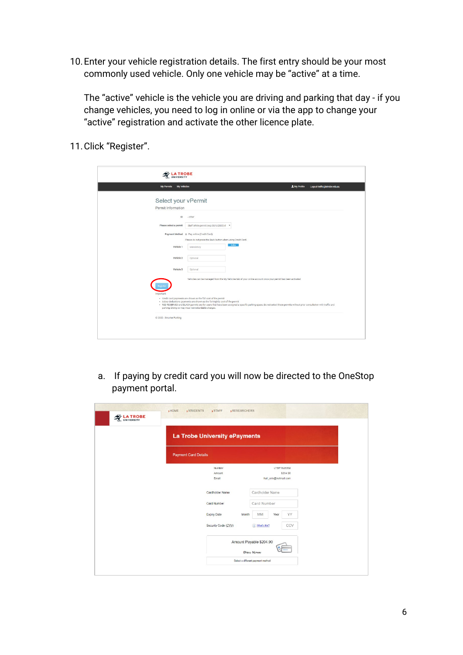10.Enter your vehicle registration details. The first entry should be your most commonly used vehicle. Only one vehicle may be "active" at a time.

The "active" vehicle is the vehicle you are driving and parking that day - if you change vehicles, you need to log in online or via the app to change your "active" registration and activate the other licence plate.

11.Click "Register".

| My Vehicles<br>My Permits |                                                                                                                                                 | 1 My Profile<br>Logout traffic@latrobe.edu.au                                                                                                                            |
|---------------------------|-------------------------------------------------------------------------------------------------------------------------------------------------|--------------------------------------------------------------------------------------------------------------------------------------------------------------------------|
|                           |                                                                                                                                                 |                                                                                                                                                                          |
| Select your vPermit       |                                                                                                                                                 |                                                                                                                                                                          |
| Permit Information        |                                                                                                                                                 |                                                                                                                                                                          |
| ID.                       | - other                                                                                                                                         |                                                                                                                                                                          |
| Please select a permit    | Staff White permit (exp 30/6/2020) (F +                                                                                                         |                                                                                                                                                                          |
|                           | Payment Method ® Pay online (Credit Card)                                                                                                       |                                                                                                                                                                          |
|                           | Please do not press the Back button when using Credit Card.                                                                                     |                                                                                                                                                                          |
| Vehicle 1                 | Active<br><b>Mandatory</b>                                                                                                                      |                                                                                                                                                                          |
| Vehicle 2                 | Optional                                                                                                                                        |                                                                                                                                                                          |
|                           |                                                                                                                                                 |                                                                                                                                                                          |
| Vehicle 3                 | Optional                                                                                                                                        |                                                                                                                                                                          |
|                           | Vehicles can be managed from the My Vehicles tab of your online account once your permit has been activated                                     |                                                                                                                                                                          |
|                           |                                                                                                                                                 |                                                                                                                                                                          |
| <b>Important:</b>         |                                                                                                                                                 |                                                                                                                                                                          |
|                           | · Credit card payments are shown as the full cost of the permit<br>. Salary deductions payments are shown as the fortnightly cost of the permit |                                                                                                                                                                          |
|                           | parking. Doing so may incur non-refundable charges.                                                                                             | . RED RESERVED and BLACK permits are for users that have been assigned a specific parking space. Do not select these permits without prior consultation with traffic and |
| @ 2020 - Smarter Parking  |                                                                                                                                                 |                                                                                                                                                                          |

a. If paying by credit card you will now be directed to the OneStop payment portal.

| La Trobe University ePayments |       |                                              |      |             |  |
|-------------------------------|-------|----------------------------------------------|------|-------------|--|
| <b>Payment Card Details</b>   |       |                                              |      |             |  |
| Number                        |       |                                              |      | LTBP1645392 |  |
| Amount<br>Email               |       | hall_erin@hotmail.com                        |      | \$204.90    |  |
| Cardholder Name               |       | Cardholder Name                              |      |             |  |
| Card Number                   |       | Card Number                                  |      |             |  |
| <b>Expiry Date</b>            | Month | <b>MM</b>                                    | Year | YY          |  |
| Security Code (CVV)           |       | (i) What's this?                             |      | CCV         |  |
|                               |       | Amount Payable \$204.90                      |      |             |  |
|                               |       | Pay Now<br>Select a different payment method |      |             |  |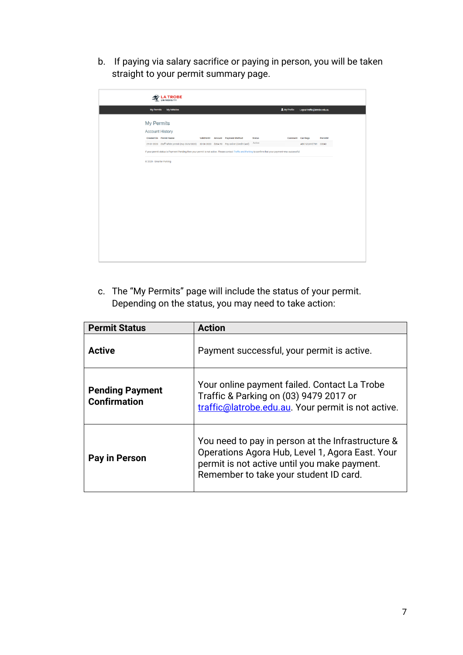b. If paying via salary sacrifice or paying in person, you will be taken straight to your permit summary page.

| <b>ROBE</b><br>UNIVERSITY                                                                                                                                |  |                                   |               |                  |                               |         |
|----------------------------------------------------------------------------------------------------------------------------------------------------------|--|-----------------------------------|---------------|------------------|-------------------------------|---------|
| My Vehicles<br>My Permits                                                                                                                                |  |                                   |               | L My Profile     | Logout traffic@latrobe.edu.au |         |
| <b>My Permits</b>                                                                                                                                        |  |                                   |               |                  |                               |         |
| <b>Account History</b>                                                                                                                                   |  |                                   |               |                  |                               |         |
| <b>Created On</b> Permit Name                                                                                                                            |  | Valid Until Amount Payment Method | <b>Status</b> | Comment Car Regs |                               | Permit# |
| 29-01-2020 Staff White permit (exp 30/6/2020) 30-06-2020 \$204.90 Pay online (Credit Card)                                                               |  |                                   | Active        |                  | ABC123, XYZ789 33043          |         |
| If your permit status is Payment Pending then your permit is not active. Please contact Traffic and Parking to confirm that your payment was successful. |  |                                   |               |                  |                               |         |
|                                                                                                                                                          |  |                                   |               |                  |                               |         |
|                                                                                                                                                          |  |                                   |               |                  |                               |         |
|                                                                                                                                                          |  |                                   |               |                  |                               |         |

c. The "My Permits" page will include the status of your permit. Depending on the status, you may need to take action:

| <b>Permit Status</b>                          | <b>Action</b>                                                                                                                                                                                  |
|-----------------------------------------------|------------------------------------------------------------------------------------------------------------------------------------------------------------------------------------------------|
| <b>Active</b>                                 | Payment successful, your permit is active.                                                                                                                                                     |
| <b>Pending Payment</b><br><b>Confirmation</b> | Your online payment failed. Contact La Trobe<br>Traffic & Parking on (03) 9479 2017 or<br>traffic@latrobe.edu.au. Your permit is not active.                                                   |
| Pay in Person                                 | You need to pay in person at the Infrastructure &<br>Operations Agora Hub, Level 1, Agora East. Your<br>permit is not active until you make payment.<br>Remember to take your student ID card. |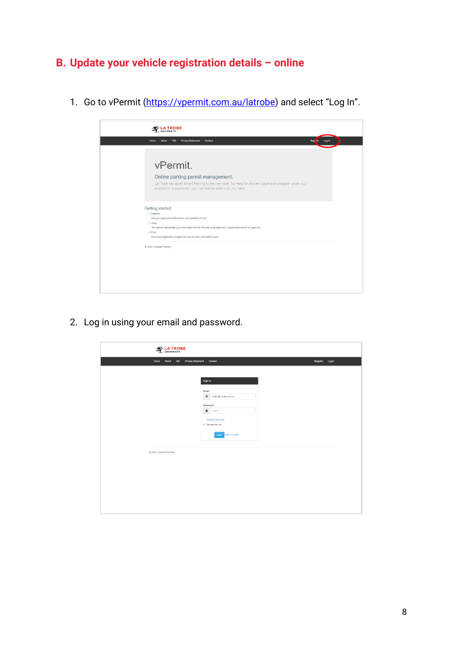# **B. Update your vehicle registration details – online**

1. Go to vPermit [\(https://vpermit.com.au/latrobe\)](https://vpermit.com.au/latrobe) and select "Log In".

| <b>Privacy Statement</b><br>Contact<br>Home<br>About<br>T&C<br>Rogi <sup>t</sup> (or<br>Login<br>vPermit.<br>Online parking permit management.<br>La Trobe has taken Smart Parking to the next level. No need for stickers, papers and hassle - once your<br>application is approved - your car licence plate is all you need.<br>Getting started:<br>1. Register<br>Get your registration information and submit it all here<br>2. Apply<br>The system will validate your information for the vPermit, verify payment if applied and send it for approval.<br>3. Park<br>Once your application is approved, you are done and ready to park. | @ 2020 - Smarter Parking |  | <b>A TROBE</b> |  |
|----------------------------------------------------------------------------------------------------------------------------------------------------------------------------------------------------------------------------------------------------------------------------------------------------------------------------------------------------------------------------------------------------------------------------------------------------------------------------------------------------------------------------------------------------------------------------------------------------------------------------------------------|--------------------------|--|----------------|--|
|                                                                                                                                                                                                                                                                                                                                                                                                                                                                                                                                                                                                                                              |                          |  |                |  |
|                                                                                                                                                                                                                                                                                                                                                                                                                                                                                                                                                                                                                                              |                          |  |                |  |
|                                                                                                                                                                                                                                                                                                                                                                                                                                                                                                                                                                                                                                              |                          |  |                |  |
|                                                                                                                                                                                                                                                                                                                                                                                                                                                                                                                                                                                                                                              |                          |  |                |  |
|                                                                                                                                                                                                                                                                                                                                                                                                                                                                                                                                                                                                                                              |                          |  |                |  |
|                                                                                                                                                                                                                                                                                                                                                                                                                                                                                                                                                                                                                                              |                          |  |                |  |
|                                                                                                                                                                                                                                                                                                                                                                                                                                                                                                                                                                                                                                              |                          |  |                |  |
|                                                                                                                                                                                                                                                                                                                                                                                                                                                                                                                                                                                                                                              |                          |  |                |  |
|                                                                                                                                                                                                                                                                                                                                                                                                                                                                                                                                                                                                                                              |                          |  |                |  |
|                                                                                                                                                                                                                                                                                                                                                                                                                                                                                                                                                                                                                                              |                          |  |                |  |
|                                                                                                                                                                                                                                                                                                                                                                                                                                                                                                                                                                                                                                              |                          |  |                |  |
|                                                                                                                                                                                                                                                                                                                                                                                                                                                                                                                                                                                                                                              |                          |  |                |  |
|                                                                                                                                                                                                                                                                                                                                                                                                                                                                                                                                                                                                                                              |                          |  |                |  |

2. Log in using your email and password.

| <b>LA TROBE</b>          |                                                                                                                                                                                                                                                                                                                                                                                                                                                                                                                                                                                                                                                                         |                 |
|--------------------------|-------------------------------------------------------------------------------------------------------------------------------------------------------------------------------------------------------------------------------------------------------------------------------------------------------------------------------------------------------------------------------------------------------------------------------------------------------------------------------------------------------------------------------------------------------------------------------------------------------------------------------------------------------------------------|-----------------|
| About T&C<br>Home        | <b>Privacy Statement</b> Contact                                                                                                                                                                                                                                                                                                                                                                                                                                                                                                                                                                                                                                        | Register Log in |
|                          | Sign In<br>Email<br>$\begin{tabular}{ll} \hline \end{tabular} \begin{tabular}{ll} \hline \end{tabular} \begin{tabular}{ll} \hline \end{tabular} \begin{tabular}{ll} \hline \end{tabular} \begin{tabular}{ll} \hline \end{tabular} \begin{tabular}{ll} \hline \end{tabular} \end{tabular} \begin{tabular}{ll} \hline \end{tabular} \begin{tabular}{ll} \hline \end{tabular} \end{tabular} \begin{tabular}{ll} \hline \end{tabular} \begin{tabular}{ll} \hline \end{tabular} \end{tabular} \begin{tabular}{ll} \hline \end{tabular} \begin{tabular}{ll} \hline \end{tab$<br>Password<br>$\bullet$<br><b>Forgot Password</b><br><b>B</b> Remember me<br>Login Sign Up Here |                 |
| @ 2020 - Smarter Parking |                                                                                                                                                                                                                                                                                                                                                                                                                                                                                                                                                                                                                                                                         |                 |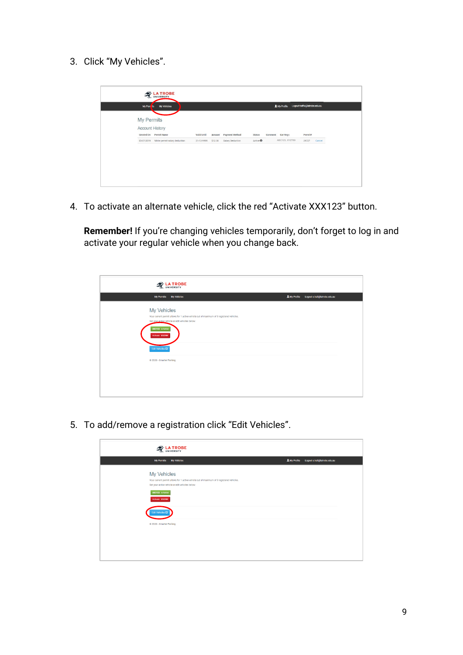3. Click "My Vehicles".

| My Perrats             | My Vehicles                              |             |         |                       |                     |         | 1 My Profile   | Logout traffic@latrobe.edu.au |        |
|------------------------|------------------------------------------|-------------|---------|-----------------------|---------------------|---------|----------------|-------------------------------|--------|
| <b>My Permits</b>      |                                          |             |         |                       |                     |         |                |                               |        |
| <b>Account History</b> |                                          |             |         |                       |                     |         |                |                               |        |
|                        | Created On Permit Name                   | Valid Until | Amount  | <b>Payment Method</b> | Status              | Comment | Car Regs       | Permit#                       |        |
|                        | 03-07-2019 White permit salary deduction | 31-12-9999  | \$12.08 | Salary Deduction      | Active <sup>O</sup> |         | ABC123, XYZ789 | 29727                         | Cancel |
|                        |                                          |             |         |                       |                     |         |                |                               |        |
|                        |                                          |             |         |                       |                     |         |                |                               |        |
|                        |                                          |             |         |                       |                     |         |                |                               |        |

4. To activate an alternate vehicle, click the red "Activate XXX123" button.

**Remember!** If you're changing vehicles temporarily, don't forget to log in and activate your regular vehicle when you change back.

| LA TROBE                                                                                                                                                                                                                                                      |              |                              |
|---------------------------------------------------------------------------------------------------------------------------------------------------------------------------------------------------------------------------------------------------------------|--------------|------------------------------|
| My Permits My Vehicles                                                                                                                                                                                                                                        | A My Profile | Logout c.hall@latrobe.edu.au |
| My Vehicles<br>Your current permit allows for 1 active vehicle out of maximum of 3 registered vehicles.<br>Set your active vehicle or edit vehicles below:<br>ABC123 in Active<br>Activate XYZ789<br>Edit Vehicles <sup>(2)</sup><br>C 2020 - Smarter Parking |              |                              |
|                                                                                                                                                                                                                                                               |              |                              |

5. To add/remove a registration click "Edit Vehicles".

| LA TROBE                                                                                                                                                   |  |                                         |
|------------------------------------------------------------------------------------------------------------------------------------------------------------|--|-----------------------------------------|
| My Vehicles<br><b>My Permits</b>                                                                                                                           |  | LMy Profile Logout chall@latrobe.edu.au |
| My Vehicles<br>Your current permit allows for 1 active vehicle out of maximum of 3 registered vehicles.<br>Set your active vehicle or edit vehicles below: |  |                                         |
| ABC123 in Active<br>Activate XYZ789                                                                                                                        |  |                                         |
| Edit Vehicles <sup>(2)</sup>                                                                                                                               |  |                                         |
| C 2020 - Smarter Parking                                                                                                                                   |  |                                         |
|                                                                                                                                                            |  |                                         |
|                                                                                                                                                            |  |                                         |
|                                                                                                                                                            |  |                                         |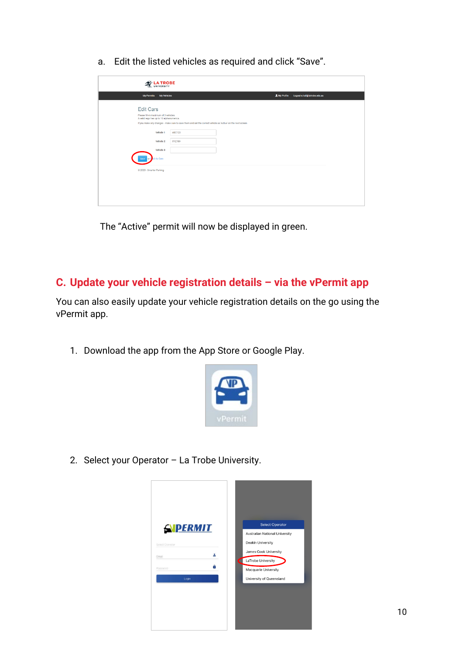a. Edit the listed vehicles as required and click "Save".

| <b>LA TROBE</b>                                                                   |                                                                                                             |                                              |
|-----------------------------------------------------------------------------------|-------------------------------------------------------------------------------------------------------------|----------------------------------------------|
| My Vehicles<br><b>My Permits</b>                                                  |                                                                                                             | L My Profile<br>Logout e.hall@latrobe.edu.au |
| <b>Edit Cars</b>                                                                  |                                                                                                             |                                              |
| Please fill-in maximum of 3 vehicles:<br>A valid rego has up to 10 alphanumerics. |                                                                                                             |                                              |
|                                                                                   | If you make any changes - make sure to save them and set the correct vehicle as 'Active' on the next screen |                                              |
| Vehicle 1                                                                         | <b>ABC123</b>                                                                                               |                                              |
| Vehicle 2                                                                         | XYZ789                                                                                                      |                                              |
| Vehicle 3                                                                         |                                                                                                             |                                              |
| k to Cars                                                                         |                                                                                                             |                                              |
| C 2020 - Smarter Parking                                                          |                                                                                                             |                                              |
|                                                                                   |                                                                                                             |                                              |
|                                                                                   |                                                                                                             |                                              |
|                                                                                   |                                                                                                             |                                              |
|                                                                                   |                                                                                                             |                                              |
|                                                                                   |                                                                                                             |                                              |

The "Active" permit will now be displayed in green.

#### **C. Update your vehicle registration details – via the vPermit app**

You can also easily update your vehicle registration details on the go using the vPermit app.

1. Download the app from the App Store or Google Play.



2. Select your Operator – La Trobe University.

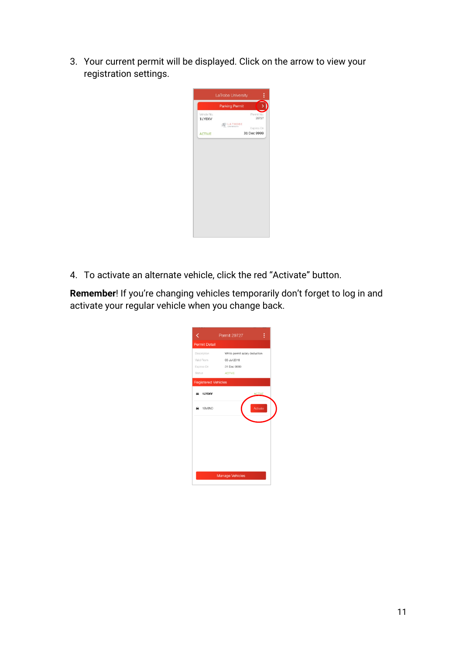3. Your current permit will be displayed. Click on the arrow to view your registration settings.

|                       | <b>Parking Permit</b> |                     |
|-----------------------|-----------------------|---------------------|
| Vehicle No.<br>1LY8XV |                       | Permit No.<br>29727 |
|                       | LA TROBE              | Expires On          |
| <b>ACTIVE</b>         |                       | 31 Dec 9999         |
|                       |                       |                     |
|                       |                       |                     |
|                       |                       |                     |
|                       |                       |                     |
|                       |                       |                     |
|                       |                       |                     |

4. To activate an alternate vehicle, click the red "Activate" button.

**Remember**! If you're changing vehicles temporarily don't forget to log in and activate your regular vehicle when you change back.

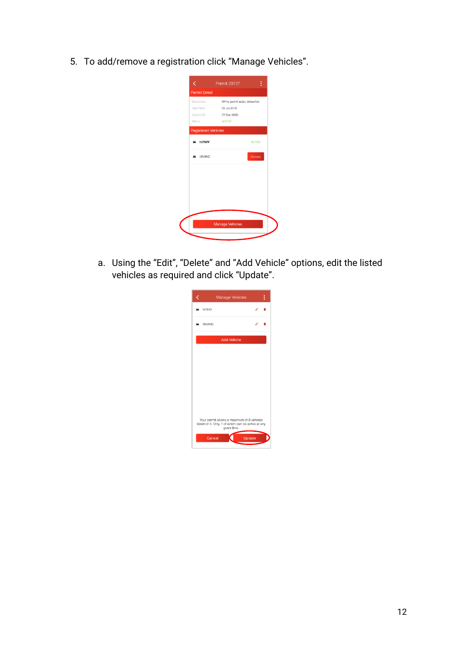5. To add/remove a registration click "Manage Vehicles".

|                            | ፧<br>Permit 29727                         |
|----------------------------|-------------------------------------------|
| <b>Permit Detail</b>       |                                           |
|                            | Description White permit salary deduction |
|                            | Valid From 03 Jul 2019                    |
| Expires On                 | 31 Dec 9999                               |
| <b>Status</b>              | <b>ACTIVE</b>                             |
| <b>Registered Vehicles</b> |                                           |
| 1LY8XV<br>≘                | <b>ACTIVE</b>                             |
| 1BV8ND<br>- 1              | Activate                                  |
|                            |                                           |
|                            |                                           |
|                            |                                           |
|                            |                                           |
|                            |                                           |
|                            |                                           |
|                            | <b>Manage Vehicles</b>                    |
|                            |                                           |

a. Using the "Edit", "Delete" and "Add Vehicle" options, edit the listed vehicles as required and click "Update".

|             | Manage Vehicles                                                                                  |                    |        | i |
|-------------|--------------------------------------------------------------------------------------------------|--------------------|--------|---|
|             |                                                                                                  |                    |        |   |
| 1LY8XV<br>∍ |                                                                                                  |                    |        |   |
| 1BV8ND<br>▄ |                                                                                                  |                    |        |   |
|             |                                                                                                  | <b>Add Vehicle</b> |        |   |
|             |                                                                                                  |                    |        |   |
|             |                                                                                                  |                    |        |   |
|             |                                                                                                  |                    |        |   |
|             |                                                                                                  |                    |        |   |
|             |                                                                                                  |                    |        |   |
|             |                                                                                                  |                    |        |   |
|             |                                                                                                  |                    |        |   |
|             |                                                                                                  |                    |        |   |
|             | Your permit allows a maximum of 3 vehicles<br>listed on it. Only 1 of which can be active at any | given time.        |        |   |
|             | Cancel                                                                                           |                    | Update |   |
|             |                                                                                                  |                    |        |   |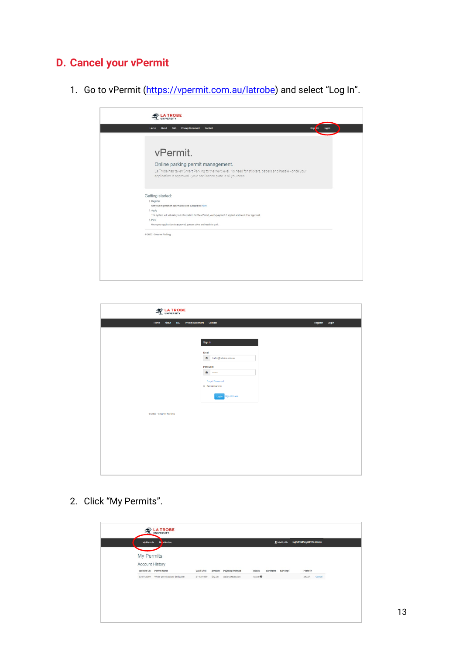### **D. Cancel your vPermit**

1. Go to vPermit [\(https://vpermit.com.au/latrobe\)](https://vpermit.com.au/latrobe) and select "Log In".



| <b>LA TROBE</b>          |                                     |                 |
|--------------------------|-------------------------------------|-----------------|
|                          |                                     |                 |
| Home                     | About T&C Privacy Statement Contact | Register Log in |
|                          |                                     |                 |
|                          |                                     |                 |
|                          | Sign In                             |                 |
|                          |                                     |                 |
|                          | Email<br>图 traffic@latrobe.edu.au   |                 |
|                          |                                     |                 |
|                          | Password                            |                 |
|                          | $\bullet$<br>$\cdots$               |                 |
|                          | <b>Forgot Password</b>              |                 |
|                          | <b>E</b> Remember me                |                 |
|                          | Login Sign Up Here                  |                 |
|                          |                                     |                 |
|                          |                                     |                 |
| @ 2020 - Smarter Parking |                                     |                 |
|                          |                                     |                 |
|                          |                                     |                 |
|                          |                                     |                 |
|                          |                                     |                 |
|                          |                                     |                 |
|                          |                                     |                 |
|                          |                                     |                 |
|                          |                                     |                 |
|                          |                                     |                 |

2. Click "My Permits".

| <b>My Permits</b>                        |             |         |                  |                     |         |          |         |        |
|------------------------------------------|-------------|---------|------------------|---------------------|---------|----------|---------|--------|
| <b>Account History</b>                   |             |         |                  |                     |         |          |         |        |
| Created On Permit Name                   | Valid Until | Amount  | Payment Method   | Status              | Comment | Car Regs | Permit# |        |
| 03-07-2019 White permit salary deduction | 31-12-9999  | \$12.08 | Salary Deduction | Active <sup>O</sup> |         |          | 29727   | Cancel |